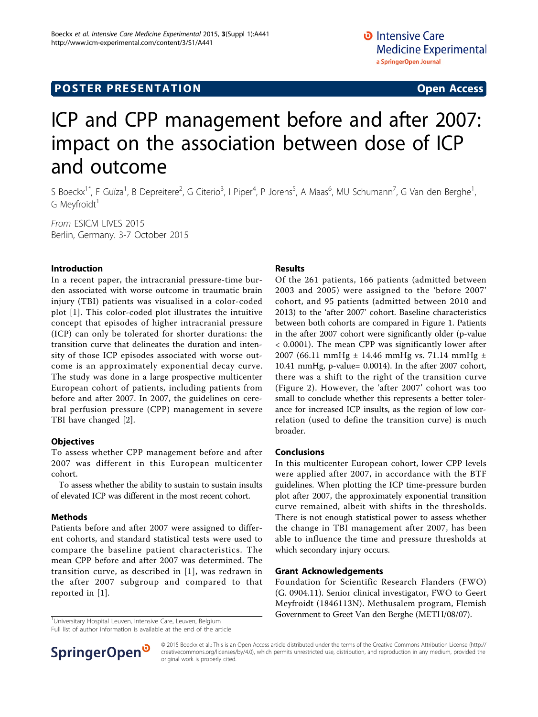# ICP and CPP management before and after 2007: impact on the association between dose of ICP and outcome

S Boeckx<sup>1\*</sup>, F Guïza<sup>1</sup>, B Depreitere<sup>2</sup>, G Citerio<sup>3</sup>, I Piper<sup>4</sup>, P Jorens<sup>5</sup>, A Maas<sup>6</sup>, MU Schumann<sup>7</sup>, G Van den Berghe<sup>1</sup> , G Meyfroidt<sup>1</sup>

From ESICM LIVES 2015 Berlin, Germany. 3-7 October 2015

## Introduction

In a recent paper, the intracranial pressure-time burden associated with worse outcome in traumatic brain injury (TBI) patients was visualised in a color-coded plot [[1\]](#page-1-0). This color-coded plot illustrates the intuitive concept that episodes of higher intracranial pressure (ICP) can only be tolerated for shorter durations: the transition curve that delineates the duration and intensity of those ICP episodes associated with worse outcome is an approximately exponential decay curve. The study was done in a large prospective multicenter European cohort of patients, including patients from before and after 2007. In 2007, the guidelines on cerebral perfusion pressure (CPP) management in severe TBI have changed [\[2](#page-1-0)].

#### **Objectives**

To assess whether CPP management before and after 2007 was different in this European multicenter cohort.

To assess whether the ability to sustain to sustain insults of elevated ICP was different in the most recent cohort.

#### Methods

Patients before and after 2007 were assigned to different cohorts, and standard statistical tests were used to compare the baseline patient characteristics. The mean CPP before and after 2007 was determined. The transition curve, as described in [[1\]](#page-1-0), was redrawn in the after 2007 subgroup and compared to that reported in [[1\]](#page-1-0).

<sup>1</sup>Universitary Hospital Leuven, Intensive Care, Leuven, Belgium

Full list of author information is available at the end of the article

## Results

Of the 261 patients, 166 patients (admitted between 2003 and 2005) were assigned to the 'before 2007' cohort, and 95 patients (admitted between 2010 and 2013) to the 'after 2007' cohort. Baseline characteristics between both cohorts are compared in Figure [1](#page-1-0). Patients in the after 2007 cohort were significantly older (p-value < 0.0001). The mean CPP was significantly lower after 2007 (66.11 mmHg ± 14.46 mmHg vs. 71.14 mmHg ± 10.41 mmHg, p-value= 0.0014). In the after 2007 cohort, there was a shift to the right of the transition curve (Figure [2](#page-1-0)). However, the 'after 2007' cohort was too small to conclude whether this represents a better tolerance for increased ICP insults, as the region of low correlation (used to define the transition curve) is much broader.

## Conclusions

In this multicenter European cohort, lower CPP levels were applied after 2007, in accordance with the BTF guidelines. When plotting the ICP time-pressure burden plot after 2007, the approximately exponential transition curve remained, albeit with shifts in the thresholds. There is not enough statistical power to assess whether the change in TBI management after 2007, has been able to influence the time and pressure thresholds at which secondary injury occurs.

### Grant Acknowledgements

Foundation for Scientific Research Flanders (FWO) (G. 0904.11). Senior clinical investigator, FWO to Geert Meyfroidt (1846113N). Methusalem program, Flemish Government to Greet Van den Berghe (METH/08/07). <sup>1</sup>



© 2015 Boeckx et al.; This is an Open Access article distributed under the terms of the Creative Commons Attribution License [\(http://](http://creativecommons.org/licenses/by/4.0) [creativecommons.org/licenses/by/4.0](http://creativecommons.org/licenses/by/4.0)), which permits unrestricted use, distribution, and reproduction in any medium, provided the original work is properly cited.